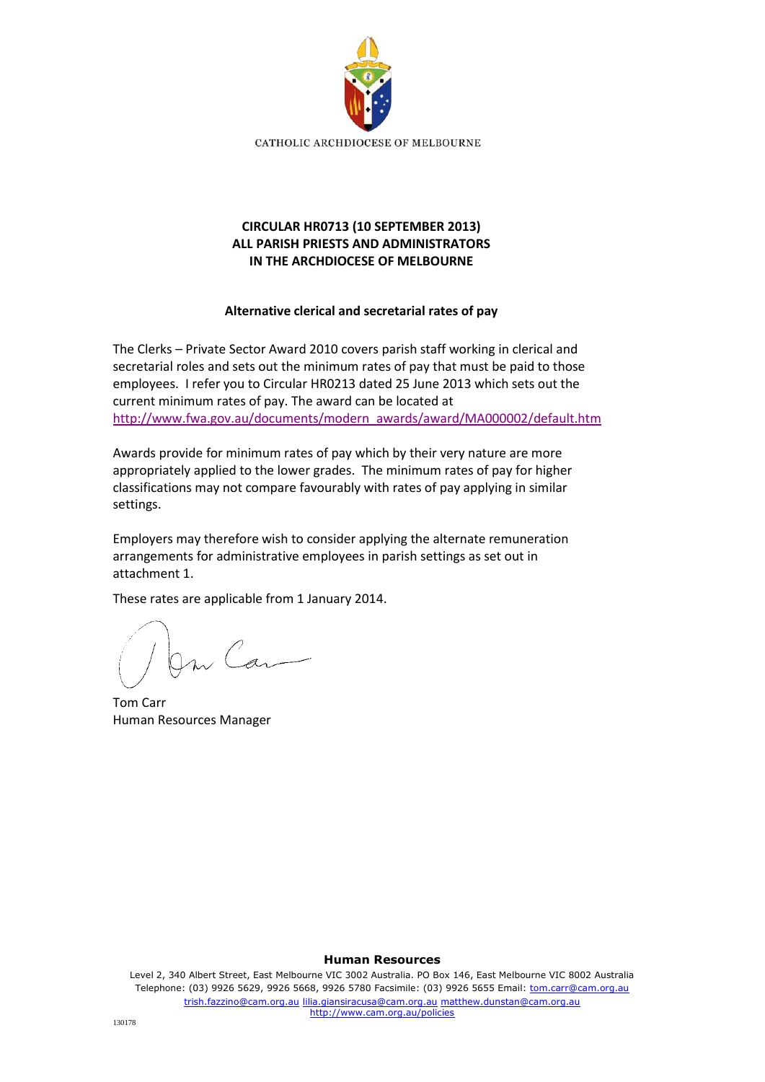

# **CIRCULAR HR0713 (10 SEPTEMBER 2013) ALL PARISH PRIESTS AND ADMINISTRATORS IN THE ARCHDIOCESE OF MELBOURNE**

# **Alternative clerical and secretarial rates of pay**

The Clerks – Private Sector Award 2010 covers parish staff working in clerical and secretarial roles and sets out the minimum rates of pay that must be paid to those employees. I refer you to Circular HR0213 dated 25 June 2013 which sets out the current minimum rates of pay. The award can be located at [http://www.fwa.gov.au/documents/modern\\_awards/award/MA000002/default.htm](http://www.fwa.gov.au/documents/modern_awards/award/MA000002/default.htm)

Awards provide for minimum rates of pay which by their very nature are more appropriately applied to the lower grades. The minimum rates of pay for higher classifications may not compare favourably with rates of pay applying in similar settings.

Employers may therefore wish to consider applying the alternate remuneration arrangements for administrative employees in parish settings as set out in attachment 1.

These rates are applicable from 1 January 2014.

On Can

Tom Carr Human Resources Manager

#### **Human Resources**

Level 2, 340 Albert Street, East Melbourne VIC 3002 Australia. PO Box 146, East Melbourne VIC 8002 Australia Telephone: (03) 9926 5629, 9926 5668, 9926 5780 Facsimile: (03) 9926 5655 Email: tom.carr@cam.org.au trish.fazzino@cam.org.au lilia.giansiracusa@cam.org.au matthew.dunstan@cam.org.au http://www.cam.org.au/policies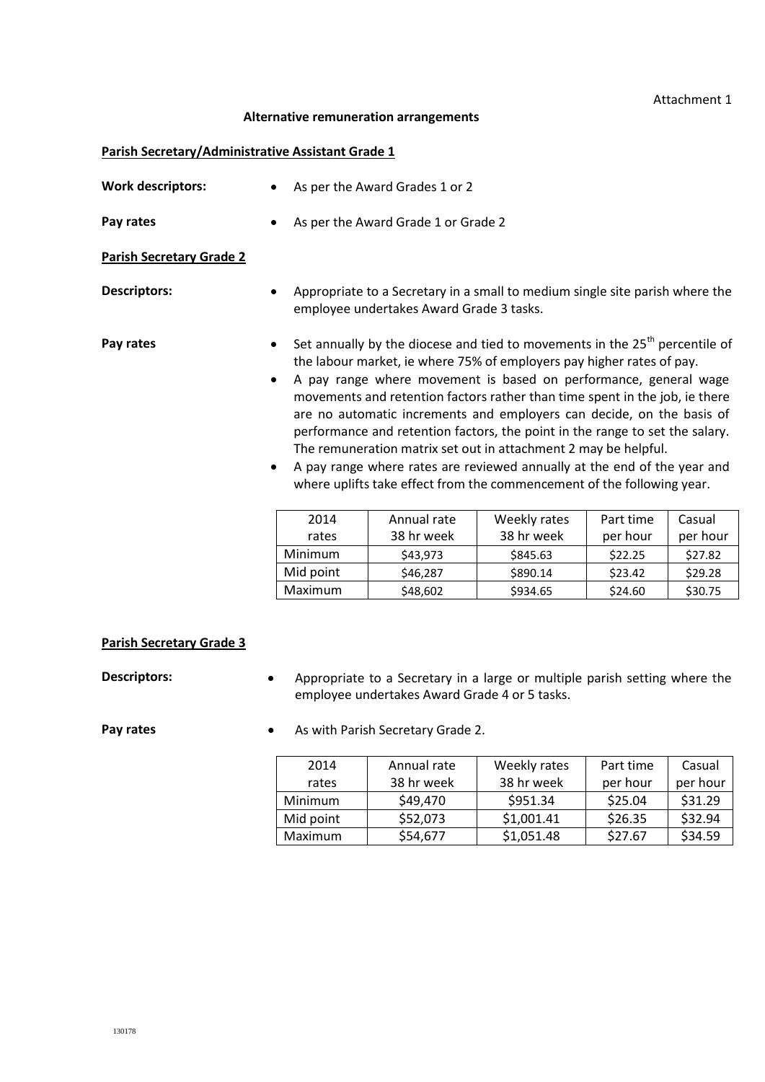### Attachment 1

### **Alternative remuneration arrangements**

### **Parish Secretary/Administrative Assistant Grade 1**

| <b>Work descriptors:</b>        |                        | As per the Award Grades 1 or 2                                                                                                                                                                                                                                                                                                                                                                                                                                                                                                                                                                                                                                                              |              |           |          |  |
|---------------------------------|------------------------|---------------------------------------------------------------------------------------------------------------------------------------------------------------------------------------------------------------------------------------------------------------------------------------------------------------------------------------------------------------------------------------------------------------------------------------------------------------------------------------------------------------------------------------------------------------------------------------------------------------------------------------------------------------------------------------------|--------------|-----------|----------|--|
| Pay rates                       |                        | As per the Award Grade 1 or Grade 2                                                                                                                                                                                                                                                                                                                                                                                                                                                                                                                                                                                                                                                         |              |           |          |  |
| <b>Parish Secretary Grade 2</b> |                        |                                                                                                                                                                                                                                                                                                                                                                                                                                                                                                                                                                                                                                                                                             |              |           |          |  |
| <b>Descriptors:</b>             |                        | Appropriate to a Secretary in a small to medium single site parish where the<br>employee undertakes Award Grade 3 tasks.                                                                                                                                                                                                                                                                                                                                                                                                                                                                                                                                                                    |              |           |          |  |
| Pay rates                       | $\bullet$<br>$\bullet$ | Set annually by the diocese and tied to movements in the $25th$ percentile of<br>the labour market, ie where 75% of employers pay higher rates of pay.<br>A pay range where movement is based on performance, general wage<br>movements and retention factors rather than time spent in the job, ie there<br>are no automatic increments and employers can decide, on the basis of<br>performance and retention factors, the point in the range to set the salary.<br>The remuneration matrix set out in attachment 2 may be helpful.<br>A pay range where rates are reviewed annually at the end of the year and<br>where uplifts take effect from the commencement of the following year. |              |           |          |  |
|                                 | 2014                   | Annual rate                                                                                                                                                                                                                                                                                                                                                                                                                                                                                                                                                                                                                                                                                 | Weekly rates | Part time | Casual   |  |
|                                 | rates                  | 38 hr week                                                                                                                                                                                                                                                                                                                                                                                                                                                                                                                                                                                                                                                                                  | 38 hr week   | per hour  | per hour |  |
|                                 | Minimum                | \$43,973                                                                                                                                                                                                                                                                                                                                                                                                                                                                                                                                                                                                                                                                                    | \$845.63     | \$22.25   | \$27.82  |  |
|                                 | Mid point              | \$46,287                                                                                                                                                                                                                                                                                                                                                                                                                                                                                                                                                                                                                                                                                    | \$890.14     | \$23.42   | \$29.28  |  |
|                                 | Maximum                | \$48,602                                                                                                                                                                                                                                                                                                                                                                                                                                                                                                                                                                                                                                                                                    | \$934.65     | \$24.60   | \$30.75  |  |

# **Parish Secretary Grade 3**

**Descriptors:** • Appropriate to a Secretary in a large or multiple parish setting where the employee undertakes Award Grade 4 or 5 tasks.

**Pay rates •** As with Parish Secretary Grade 2.

| 2014      | Annual rate | Weekly rates | Part time | Casual   |
|-----------|-------------|--------------|-----------|----------|
| rates     | 38 hr week  | 38 hr week   | per hour  | per hour |
| Minimum   | \$49,470    | \$951.34     | \$25.04   | \$31.29  |
| Mid point | \$52,073    | \$1,001.41   | \$26.35   | \$32.94  |
| Maximum   | \$54,677    | \$1,051.48   | \$27.67   | \$34.59  |